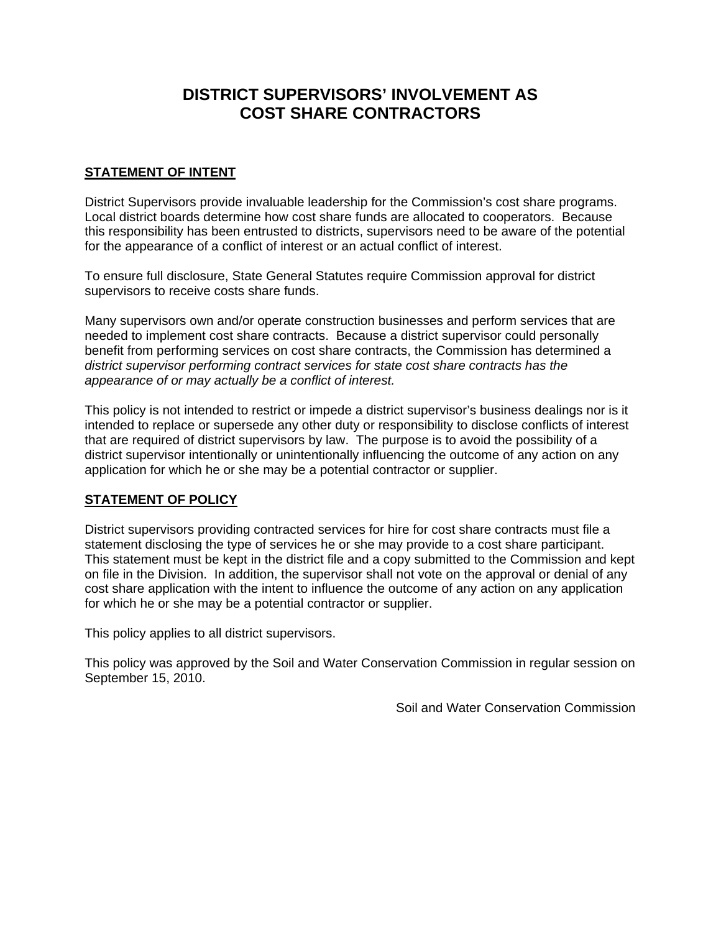# **DISTRICT SUPERVISORS' INVOLVEMENT AS COST SHARE CONTRACTORS**

#### **STATEMENT OF INTENT**

District Supervisors provide invaluable leadership for the Commission's cost share programs. Local district boards determine how cost share funds are allocated to cooperators. Because this responsibility has been entrusted to districts, supervisors need to be aware of the potential for the appearance of a conflict of interest or an actual conflict of interest.

To ensure full disclosure, State General Statutes require Commission approval for district supervisors to receive costs share funds.

Many supervisors own and/or operate construction businesses and perform services that are needed to implement cost share contracts. Because a district supervisor could personally benefit from performing services on cost share contracts, the Commission has determined a *district supervisor performing contract services for state cost share contracts has the appearance of or may actually be a conflict of interest.* 

This policy is not intended to restrict or impede a district supervisor's business dealings nor is it intended to replace or supersede any other duty or responsibility to disclose conflicts of interest that are required of district supervisors by law. The purpose is to avoid the possibility of a district supervisor intentionally or unintentionally influencing the outcome of any action on any application for which he or she may be a potential contractor or supplier.

#### **STATEMENT OF POLICY**

District supervisors providing contracted services for hire for cost share contracts must file a statement disclosing the type of services he or she may provide to a cost share participant. This statement must be kept in the district file and a copy submitted to the Commission and kept on file in the Division. In addition, the supervisor shall not vote on the approval or denial of any cost share application with the intent to influence the outcome of any action on any application for which he or she may be a potential contractor or supplier.

This policy applies to all district supervisors.

This policy was approved by the Soil and Water Conservation Commission in regular session on September 15, 2010.

Soil and Water Conservation Commission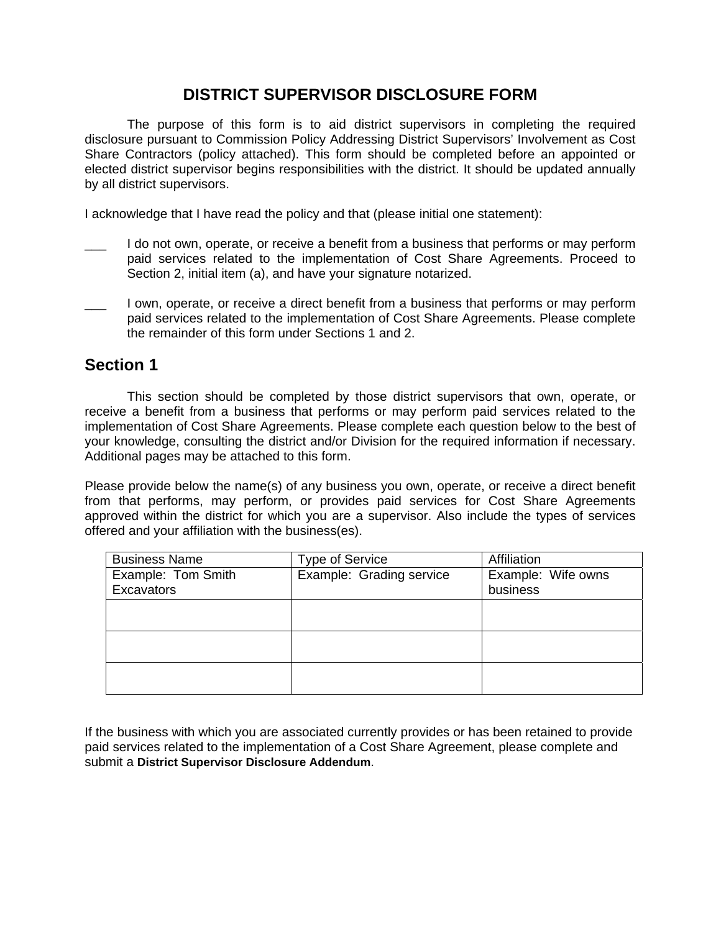### **DISTRICT SUPERVISOR DISCLOSURE FORM**

The purpose of this form is to aid district supervisors in completing the required disclosure pursuant to Commission Policy Addressing District Supervisors' Involvement as Cost Share Contractors (policy attached). This form should be completed before an appointed or elected district supervisor begins responsibilities with the district. It should be updated annually by all district supervisors.

I acknowledge that I have read the policy and that (please initial one statement):

- I do not own, operate, or receive a benefit from a business that performs or may perform paid services related to the implementation of Cost Share Agreements. Proceed to Section 2, initial item (a), and have your signature notarized.
- I own, operate, or receive a direct benefit from a business that performs or may perform paid services related to the implementation of Cost Share Agreements. Please complete the remainder of this form under Sections 1 and 2.

## **Section 1**

This section should be completed by those district supervisors that own, operate, or receive a benefit from a business that performs or may perform paid services related to the implementation of Cost Share Agreements. Please complete each question below to the best of your knowledge, consulting the district and/or Division for the required information if necessary. Additional pages may be attached to this form.

Please provide below the name(s) of any business you own, operate, or receive a direct benefit from that performs, may perform, or provides paid services for Cost Share Agreements approved within the district for which you are a supervisor. Also include the types of services offered and your affiliation with the business(es).

| <b>Business Name</b> | <b>Type of Service</b>   | Affiliation        |
|----------------------|--------------------------|--------------------|
| Example: Tom Smith   | Example: Grading service | Example: Wife owns |
| Excavators           |                          | business           |
|                      |                          |                    |
|                      |                          |                    |
|                      |                          |                    |
|                      |                          |                    |
|                      |                          |                    |
|                      |                          |                    |

If the business with which you are associated currently provides or has been retained to provide paid services related to the implementation of a Cost Share Agreement, please complete and submit a **District Supervisor Disclosure Addendum**.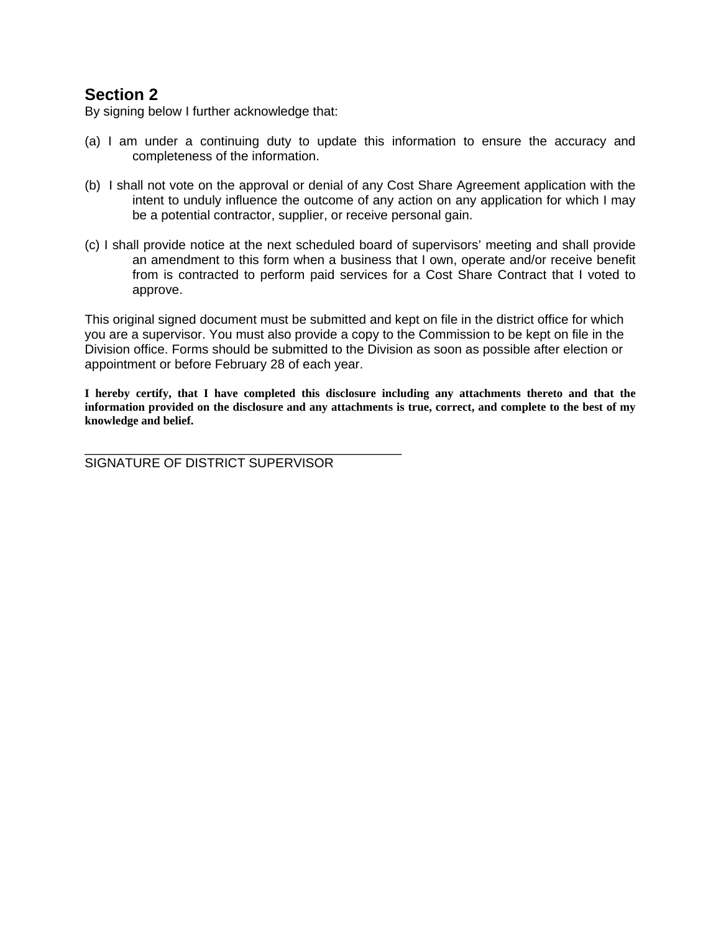### **Section 2**

By signing below I further acknowledge that:

- (a) I am under a continuing duty to update this information to ensure the accuracy and completeness of the information.
- (b) I shall not vote on the approval or denial of any Cost Share Agreement application with the intent to unduly influence the outcome of any action on any application for which I may be a potential contractor, supplier, or receive personal gain.
- (c) I shall provide notice at the next scheduled board of supervisors' meeting and shall provide an amendment to this form when a business that I own, operate and/or receive benefit from is contracted to perform paid services for a Cost Share Contract that I voted to approve.

This original signed document must be submitted and kept on file in the district office for which you are a supervisor. You must also provide a copy to the Commission to be kept on file in the Division office. Forms should be submitted to the Division as soon as possible after election or appointment or before February 28 of each year.

**I hereby certify, that I have completed this disclosure including any attachments thereto and that the information provided on the disclosure and any attachments is true, correct, and complete to the best of my knowledge and belief.** 

SIGNATURE OF DISTRICT SUPERVISOR

\_\_\_\_\_\_\_\_\_\_\_\_\_\_\_\_\_\_\_\_\_\_\_\_\_\_\_\_\_\_\_\_\_\_\_\_\_\_\_\_\_\_\_\_